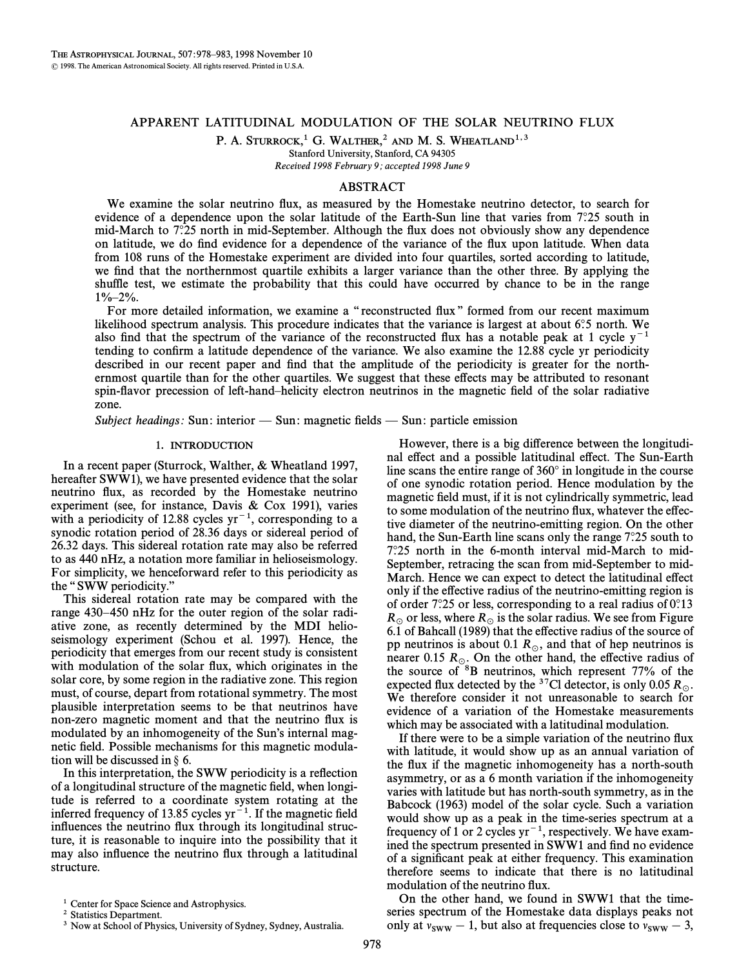# APPARENT LATITUDINAL MODULATION OF THE SOLAR NEUTRINO FLUX

P. A. STURROCK,<sup>1</sup> G. WALTHER,<sup>2</sup> AND M. S. WHEATLAND<sup>1,3</sup>

Stanford University, Stanford, CA 94305

Received 1998 February 9; accepted 1998 June 9

## ABSTRACT

We examine the solar neutrino flux, as measured by the Homestake neutrino detector, to search for evidence of a dependence upon the solar latitude of the Earth-Sun line that varies from  $7°.25$  south in mid-March to  $7.25$  north in mid-September. Although the flux does not obviously show any dependence on latitude, we do find evidence for a dependence of the variance of the flux upon latitude. When data from 108 runs of the Homestake experiment are divided into four quartiles, sorted according to latitude, we find that the northernmost quartile exhibits a larger variance than the other three. By applying the shuffle test, we estimate the probability that this could have occurred by chance to be in the range  $1\% - 2\%$ .

For more detailed information, we examine a "reconstructed flux" formed from our recent maximum likelihood spectrum analysis. This procedure indicates that the variance is largest at about  $6°.5$  north. We also find that the spectrum of the variance of the reconstructed flux has a notable peak at 1 cycle  $y^{-1}$ tending to confirm a latitude dependence of the variance. We also examine the 12.88 cycle yr periodicity described in our recent paper and find that the amplitude of the periodicity is greater for the northernmost quartile than for the other quartiles. We suggest that these e†ects may be attributed to resonant spin-flavor precession of left-hand–helicity electron neutrinos in the magnetic field of the solar radiative zone.

Subject headings: Sun: interior  $\sim$  Sun: magnetic fields  $\sim$  Sun: particle emission

## 1. INTRODUCTION

In a recent paper (Sturrock, Walther, & Wheatland 1997, hereafter SWW1), we have presented evidence that the solar neutrino flux, as recorded by the Homestake neutrino experiment (see, for instance, Davis  $\&$  Cox 1991), varies with a periodicity of 12.88 cycles  $yr^{-1}$ , corresponding to a synodic rotation period of 28.36 days or sidereal period of 26.32 days. This sidereal rotation rate may also be referred to as 440 nHz, a notation more familiar in helioseismology. For simplicity, we henceforward refer to this periodicity as the "SWW periodicity."

This sidereal rotation rate may be compared with the range 430–450 nHz for the outer region of the solar radiative zone, as recently determined by the MDI helioseismology experiment (Schou et al. 1997). Hence, the periodicity that emerges from our recent study is consistent with modulation of the solar flux, which originates in the solar core, by some region in the radiative zone. This region must, of course, depart from rotational symmetry. The most plausible interpretation seems to be that neutrinos have non-zero magnetic moment and that the neutrino Ñux is modulated by an inhomogeneity of the Sun's internal magnetic field. Possible mechanisms for this magnetic modulation will be discussed in  $\S$  6.

In this interpretation, the SWW periodicity is a reflection of a longitudinal structure of the magnetic field, when longitude is referred to a coordinate system rotating at the inferred frequency of 13.85 cycles  $yr^{-1}$ . If the magnetic field influences the neutrino flux through its longitudinal structure, it is reasonable to inquire into the possibility that it may also influence the neutrino flux through a latitudinal structure.

However, there is a big difference between the longitudinal effect and a possible latitudinal effect. The Sun-Earth line scans the entire range of  $360^\circ$  in longitude in the course of one synodic rotation period. Hence modulation by the magnetic field must, if it is not cylindrically symmetric, lead to some modulation of the neutrino flux, whatever the effective diameter of the neutrino-emitting region. On the other hand, the Sun-Earth line scans only the range  $7°.25$  south to 7¡.25 north in the 6-month interval mid-March to mid-September, retracing the scan from mid-September to mid-March. Hence we can expect to detect the latitudinal effect only if the effective radius of the neutrino-emitting region is of order  $7°.25$  or less, corresponding to a real radius of  $0°.13$  $R_\odot$  or less, where  $R_\odot$  is the solar radius. We see from Figure 6.1 of Bahcall (1989) that the effective radius of the source of pp neutrinos is about 0.1  $R_{\odot}$ , and that of hep neutrinos is nearer 0.15  $R_\odot$ . On the other hand, the effective radius of the source of <sup>8</sup>B neutrinos, which represent 77% of the expected flux detected by the <sup>37</sup>Cl detector, is only 0.05 R<sub>o</sub>. We therefore consider it not unreasonable to search for evidence of a variation of the Homestake measurements which may be associated with a latitudinal modulation.

If there were to be a simple variation of the neutrino flux with latitude, it would show up as an annual variation of the flux if the magnetic inhomogeneity has a north-south asymmetry, or as a 6 month variation if the inhomogeneity varies with latitude but has north-south symmetry, as in the Babcock (1963) model of the solar cycle. Such a variation would show up as a peak in the time-series spectrum at a frequency of 1 or 2 cycles  $yr^{-1}$ , respectively. We have examined the spectrum presented in SWW1 and find no evidence of a significant peak at either frequency. This examination therefore seems to indicate that there is no latitudinal modulation of the neutrino flux.

On the other hand, we found in SWW1 that the timeseries spectrum of the Homestake data displays peaks not only at  $v_{\text{sww}} - 1$ , but also at frequencies close to  $v_{\text{sww}} - 3$ ,

<sup>&</sup>lt;sup>1</sup> Center for Space Science and Astrophysics.

<sup>&</sup>lt;sup>2</sup> Statistics Department.

<sup>&</sup>lt;sup>3</sup> Now at School of Physics, University of Sydney, Sydney, Australia.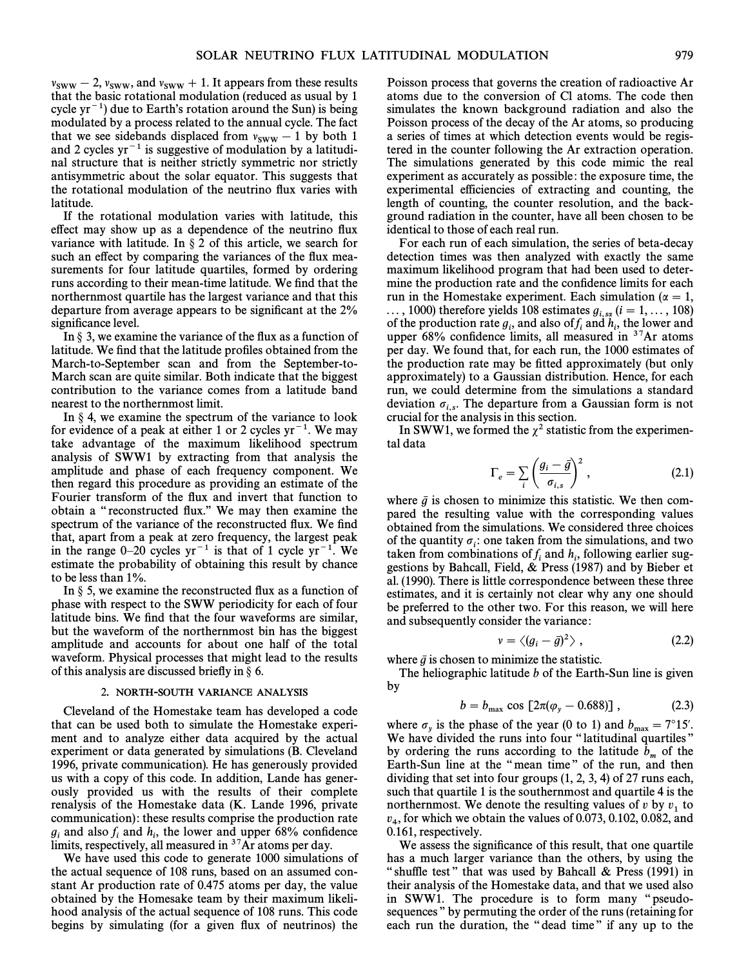$v_{\text{SWW}} - 2$ ,  $v_{\text{SWW}}$ , and  $v_{\text{SWW}} + 1$ . It appears from these results that the basic rotational modulation (reduced as usual by 1) that the basic rotational modulation (reduced as usual by 1 cycle yr<sup>-1</sup>) due to Earth's rotation around the Sun) is being modulated by a process related to the annual cycle. The fact that we see sidebands displaced from  $v_{\text{SWW}} - 1$  by both 1 and 2 cycles  $yr^{-1}$  is suggestive of modulation by a latitudiand 2 cycles  $yr^{-1}$  is suggestive of modulation by a latitudinal structure that is neither strictly symmetric nor strictly antisymmetric about the solar equator. This suggests that the rotational modulation of the neutrino Ñux varies with latitude.

If the rotational modulation varies with latitude, this effect may show up as a dependence of the neutrino flux variance with latitude. In  $\S 2$  of this article, we search for such an effect by comparing the variances of the flux measurements for four latitude quartiles, formed by ordering runs according to their mean-time latitude. We find that the northernmost quartile has the largest variance and that this departure from average appears to be significant at the 2% significance level.

In  $\S$  3, we examine the variance of the flux as a function of latitude. We find that the latitude profiles obtained from the March-to-September scan and from the September-to-March scan are quite similar. Both indicate that the biggest contribution to the variance comes from a latitude band nearest to the northernmost limit.

In  $\S$  4, we examine the spectrum of the variance to look for evidence of a peak at either 1 or 2 cycles  $yr^{-1}$ . We may take advantage of the maximum likelihood spectrum analysis of SWW1 by extracting from that analysis the amplitude and phase of each frequency component. We then regard this procedure as providing an estimate of the Fourier transform of the flux and invert that function to obtain a "reconstructed flux." We may then examine the spectrum of the variance of the reconstructed flux. We find that, apart from a peak at zero frequency, the largest peak in the range  $0-20$  cycles yr<sup>-1</sup> is that of 1 cycle yr<sup>-1</sup>. We estimate the probability of obtaining this result by chance to be less than 1%.

In  $\S$  5, we examine the reconstructed flux as a function of phase with respect to the SWW periodicity for each of four latitude bins. We find that the four waveforms are similar, but the waveform of the northernmost bin has the biggest amplitude and accounts for about one half of the total waveform. Physical processes that might lead to the results of this analysis are discussed briefly in  $\S$  6.

#### 2. NORTH-SOUTH VARIANCE ANALYSIS

Cleveland of the Homestake team has developed a code that can be used both to simulate the Homestake experiment and to analyze either data acquired by the actual experiment or data generated by simulations (B. Cleveland 1996, private communication). He has generously provided us with a copy of this code. In addition, Lande has generously provided us with the results of their complete renalysis of the Homestake data (K. Lande 1996, private communication): these results comprise the production rate  $g_i$  and also  $f_i$  and  $h_i$ , the lower and upper 68% confidence<br>limits respectively all measured in <sup>37</sup>Ar atoms per day limits, respectively, all measured in  $37$ Ar atoms per day.

We have used this code to generate 1000 simulations of the actual sequence of 108 runs, based on an assumed constant Ar production rate of 0.475 atoms per day, the value obtained by the Homesake team by their maximum likelihood analysis of the actual sequence of 108 runs. This code begins by simulating (for a given flux of neutrinos) the Poisson process that governs the creation of radioactive Ar atoms due to the conversion of Cl atoms. The code then simulates the known background radiation and also the Poisson process of the decay of the Ar atoms, so producing a series of times at which detection events would be registered in the counter following the Ar extraction operation. The simulations generated by this code mimic the real experiment as accurately as possible: the exposure time, the experimental efficiencies of extracting and counting, the length of counting, the counter resolution, and the background radiation in the counter, have all been chosen to be identical to those of each real run.

For each run of each simulation, the series of beta-decay detection times was then analyzed with exactly the same maximum likelihood program that had been used to determine the production rate and the confidence limits for each run in the Homestake experiment. Each simulation ( $\alpha = 1$ ,

..., 1000) therefore yields 108 estimates  $g_{i, ss}$   $(i = 1, ..., 108)$  of the production rate  $g_i$ , and also of  $f_i$  and  $h_i$ , the lower and unner 68% confidence limits all measured in <sup>37</sup>Ar atoms of the production rate  $y_i$ ; and also  $\sigma_j$  and  $n_i$ ; the lower and upper 68% confidence limits, all measured in  $3^7$ Ar atoms per day. We found that, for each run, the 1000 estimates of the production rate may be fitted approximately (but only approximately) to a Gaussian distribution. Hence, for each run, we could determine from the simulations a standard deviation  $\sigma_{i,s}$ . The departure from a Gaussian form is not  $\alpha$  crucial for the analysis in this section.

In SWW1, we formed the  $\chi^2$  statistic from the experimental data

$$
\Gamma_e = \sum_i \left( \frac{g_i - \bar{g}}{\sigma_{i,s}} \right)^2, \qquad (2.1)
$$

where  $\bar{g}$  is chosen to minimize this statistic. We then compared the resulting value with the corresponding values obtained from the simulations. We considered three choices of the quantity  $\sigma_i$ : one taken from the simulations, and two taken from combinations of f<sub>i</sub> and  $h_i$ , following earlier sug-<br>restions by Bahcall Field & Press (1987) and by Bieber et diken from comomations of  $j_i$  and  $n_i$ , following earlier suggestions by Bahcall, Field, & Press (1987) and by Bieber et al. (1990). There is little correspondence between these three estimates, and it is certainly not clear why any one should be preferred to the other two. For this reason, we will here and subsequently consider the variance:

$$
v = \langle (g_i - \bar{g})^2 \rangle \,, \tag{2.2}
$$

where  $\bar{g}$  is chosen to minimize the statistic.

The heliographic latitude b of the Earth-Sun line is given by

$$
b = b_{\text{max}} \cos [2\pi(\varphi_{y} - 0.688)], \qquad (2.3)
$$

where  $\sigma_y$  is the phase of the year (0 to 1) and  $b_{\text{max}} = 7^{\circ}15'$ .<br>We have divided the runs into four "latitudinal quartiles" We have divided the runs into four "latitudinal quartiles" by ordering the runs according to the latitude  $b_m$  of the Earth-Sun line at the "mean time" of the run, and then dividing that set into four groups (1, 2, 3, 4) of 27 runs each, such that quartile 1 is the southernmost and quartile 4 is the northernmost. We denote the resulting values of v by  $v_1$  to  $v_4$ , for which we obtain the values of 0.073, 0.102, 0.082, and  $v_4$ , for which we obtain the values of 0.073, 0.102, 0.082, and 0.161, respectively.

We assess the significance of this result, that one quartile has a much larger variance than the others, by using the " shuffle test" that was used by Bahcall  $&$  Press (1991) in their analysis of the Homestake data, and that we used also in SWW1. The procedure is to form many "pseudosequences " by permuting the order of the runs (retaining for each run the duration, the "dead time" if any up to the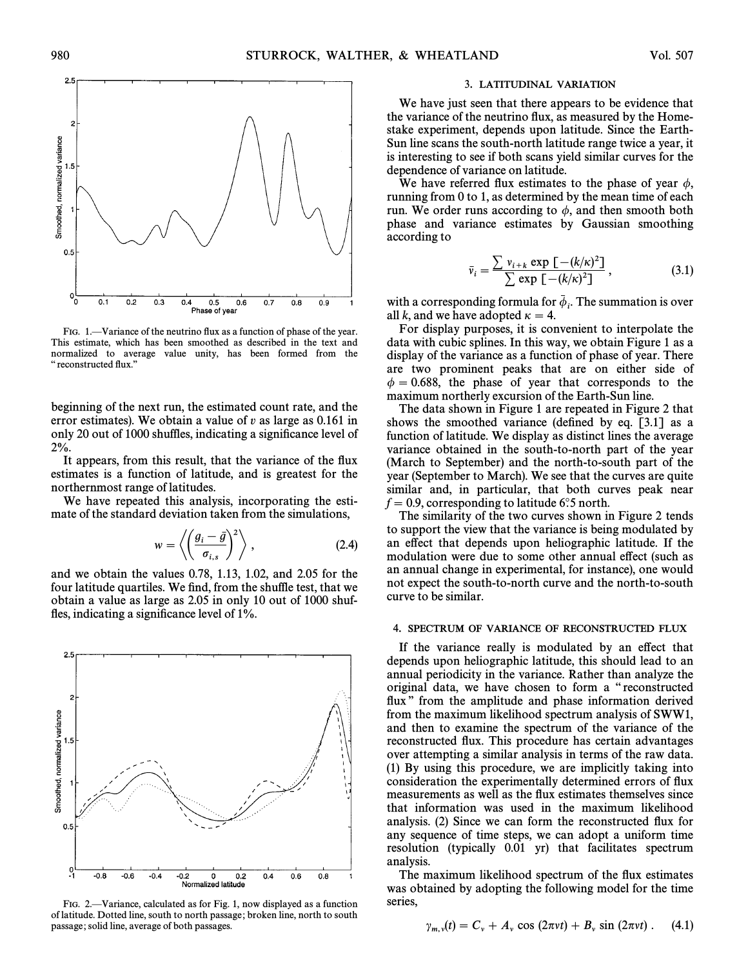

FIG. 1.—Variance of the neutrino flux as a function of phase of the year. This estimate, which has been smoothed as described in the text and normalized to average value unity, has been formed from the " reconstructed flux."

beginning of the next run, the estimated count rate, and the error estimates). We obtain a value of  $v$  as large as 0.161 in only 20 out of 1000 shuffles, indicating a significance level of 2%.

It appears, from this result, that the variance of the flux estimates is a function of latitude, and is greatest for the northernmost range of latitudes.

We have repeated this analysis, incorporating the esti-

mate of the standard deviation taken from the simulations,

\n
$$
w = \left\langle \left( \frac{g_i - \bar{g}}{\sigma_{i,s}} \right)^2 \right\rangle, \tag{2.4}
$$

and we obtain the values 0.78, 1.13, 1.02, and 2.05 for the four latitude quartiles. We find, from the shuffle test, that we obtain a value as large as 2.05 in only 10 out of 1000 shuffles, indicating a significance level of  $1\%$ .



FIG. 2.—Variance, calculated as for Fig. 1, now displayed as a function of latitude. Dotted line, south to north passage; broken line, north to south passage; solid line, average of both passages.

#### 3. LATITUDINAL VARIATION

We have just seen that there appears to be evidence that the variance of the neutrino flux, as measured by the Homestake experiment, depends upon latitude. Since the Earth-Sun line scans the south-north latitude range twice a year, it is interesting to see if both scans yield similar curves for the dependence of variance on latitude.

We have referred flux estimates to the phase of year  $\phi$ , running from 0 to 1, as determined by the mean time of each run. We order runs according to  $\phi$ , and then smooth both phase and variance estimates by Gaussian smoothing according to

$$
\bar{v}_i = \frac{\sum v_{i+k} \exp\left[-(k/\kappa)^2\right]}{\sum \exp\left[-(k/\kappa)^2\right]},
$$
\n(3.1)

with a corresponding formula for  $\bar{\phi}_i$ . The summation is over<br>all k and we have adopted  $\kappa - \lambda$ all k, and we have adopted  $\kappa = 4$ .

For display purposes, it is convenient to interpolate the data with cubic splines. In this way, we obtain Figure 1 as a display of the variance as a function of phase of year. There are two prominent peaks that are on either side of  $\phi = 0.688$ , the phase of year that corresponds to the maximum northerly excursion of the Earth-Sun line.

The data shown in Figure 1 are repeated in Figure 2 that shows the smoothed variance (defined by eq.  $[3.1]$  as a function of latitude. We display as distinct lines the average variance obtained in the south-to-north part of the year (March to September) and the north-to-south part of the year (September to March). We see that the curves are quite similar and, in particular, that both curves peak near  $f = 0.9$ , corresponding to latitude 6°.5 north.

The similarity of the two curves shown in Figure 2 tends to support the view that the variance is being modulated by an effect that depends upon heliographic latitude. If the modulation were due to some other annual effect (such as an annual change in experimental, for instance), one would not expect the south-to-north curve and the north-to-south curve to be similar.

#### 4. SPECTRUM OF VARIANCE OF RECONSTRUCTED FLUX

If the variance really is modulated by an effect that depends upon heliographic latitude, this should lead to an annual periodicity in the variance. Rather than analyze the original data, we have chosen to form a ""reconstructed flux" from the amplitude and phase information derived from the maximum likelihood spectrum analysis of SWW1, and then to examine the spectrum of the variance of the reconstructed Ñux. This procedure has certain advantages over attempting a similar analysis in terms of the raw data. (1) By using this procedure, we are implicitly taking into consideration the experimentally determined errors of flux measurements as well as the flux estimates themselves since that information was used in the maximum likelihood analysis. (2) Since we can form the reconstructed Ñux for any sequence of time steps, we can adopt a uniform time resolution (typically 0.01 yr) that facilitates spectrum analysis.

The maximum likelihood spectrum of the flux estimates was obtained by adopting the following model for the time series,

$$
\gamma_{m,v}(t) = C_v + A_v \cos(2\pi vt) + B_v \sin(2\pi vt). \quad (4.1)
$$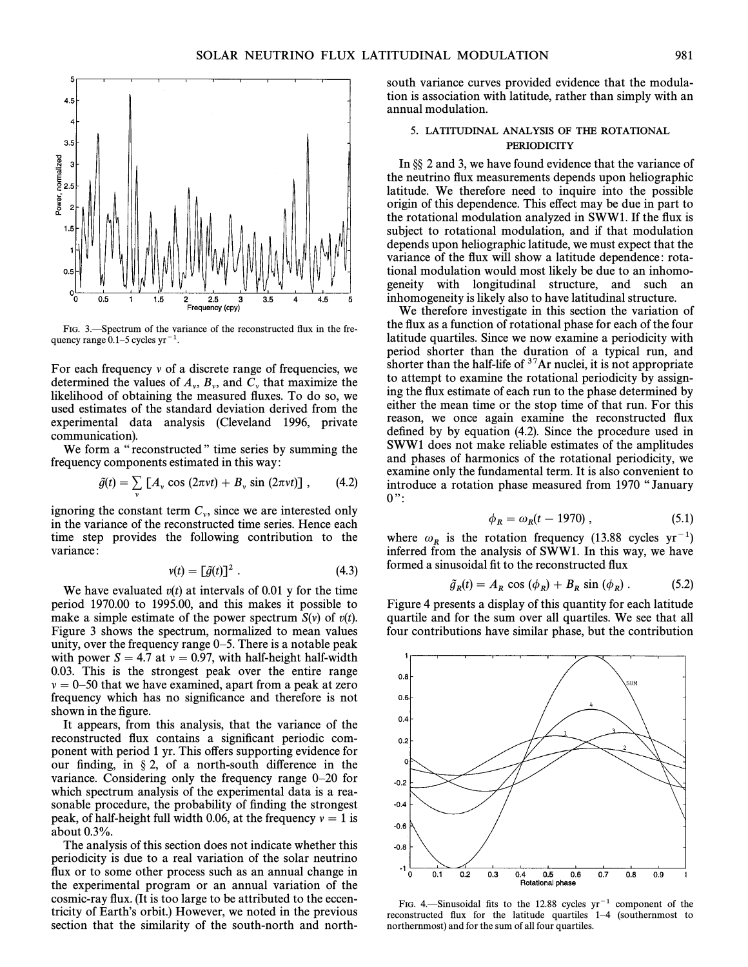

FIG. 3. Spectrum of the variance of the reconstructed flux in the frequency range  $0.1-5$  cycles yr<sup>-1</sup>.

For each frequency  $\nu$  of a discrete range of frequencies, we determined the values of  $A_{\nu}$ ,  $B_{\nu}$ , and  $C_{\nu}$  that maximize the likelihood of obtaining the measured fluxes. To do so, we used estimates of the standard deviation derived from the experimental data analysis (Cleveland 1996, private communication).

We form a "reconstructed" time series by summing the frequency components estimated in this way:

$$
\tilde{g}(t) = \sum_{v} [A_v \cos(2\pi vt) + B_v \sin(2\pi vt)], \qquad (4.2)
$$

ignoring the constant term  $C_v$ , since we are interested only in the variance of the reconstructed time series. Hence each in the variance of the reconstructed time series. Hence each time step provides the following contribution to the variance:

$$
v(t) = \left[\tilde{g}(t)\right]^2. \tag{4.3}
$$

We have evaluated  $v(t)$  at intervals of 0.01 y for the time period 1970.00 to 1995.00, and this makes it possible to make a simple estimate of the power spectrum  $S(v)$  of  $v(t)$ . Figure 3 shows the spectrum, normalized to mean values unity, over the frequency range  $0-5$ . There is a notable peak with power  $S = 4.7$  at  $v = 0.97$ , with half-height half-width 0.03. This is the strongest peak over the entire range  $\nu = 0$ –50 that we have examined, apart from a peak at zero frequency which has no significance and therefore is not shown in the figure.

It appears, from this analysis, that the variance of the reconstructed flux contains a significant periodic component with period 1 yr. This offers supporting evidence for our finding, in  $\S 2$ , of a north-south difference in the variance. Considering only the frequency range  $0-20$  for which spectrum analysis of the experimental data is a reasonable procedure, the probability of finding the strongest peak, of half-height full width 0.06, at the frequency  $v=1$  is about 0.3%.

The analysis of this section does not indicate whether this periodicity is due to a real variation of the solar neutrino flux or to some other process such as an annual change in the experimental program or an annual variation of the cosmic-ray Ñux. (It is too large to be attributed to the eccentricity of Earth's orbit.) However, we noted in the previous section that the similarity of the south-north and northsouth variance curves provided evidence that the modulation is association with latitude, rather than simply with an annual modulation.

## 5. LATITUDINAL ANALYSIS OF THE ROTATIONAL **PERIODICITY**

In  $\S$  2 and 3, we have found evidence that the variance of the neutrino Ñux measurements depends upon heliographic latitude. We therefore need to inquire into the possible origin of this dependence. This effect may be due in part to the rotational modulation analyzed in SWW1. If the flux is subject to rotational modulation, and if that modulation depends upon heliographic latitude, we must expect that the variance of the flux will show a latitude dependence: rotational modulation would most likely be due to an inhomogeneity with longitudinal structure, and such an inhomogeneity is likely also to have latitudinal structure.

We therefore investigate in this section the variation of the flux as a function of rotational phase for each of the four latitude quartiles. Since we now examine a periodicity with period shorter than the duration of a typical run, and shorter than the half-life of  $37$ Ar nuclei, it is not appropriate to attempt to examine the rotational periodicity by assigning the Ñux estimate of each run to the phase determined by either the mean time or the stop time of that run. For this reason, we once again examine the reconstructed Ñux defined by by equation  $(4.2)$ . Since the procedure used in SWW1 does not make reliable estimates of the amplitudes and phases of harmonics of the rotational periodicity, we examine only the fundamental term. It is also convenient to introduce a rotation phase measured from 1970 "January  $0$ ":

$$
\phi_R = \omega_R(t - 1970) \,, \tag{5.1}
$$

where  $\omega_R$  is the rotation frequency (13.88 cycles yr<sup>-1</sup>) inferred from the analysis of SWW1. In this way, we have formed a sinusoidal fit to the reconstructed flux

$$
\tilde{g}_R(t) = A_R \cos (\phi_R) + B_R \sin (\phi_R) . \qquad (5.2)
$$

Figure 4 presents a display of this quantity for each latitude quartile and for the sum over all quartiles. We see that all four contributions have similar phase, but the contribution



FIG. 4.—Sinusoidal fits to the 12.88 cycles  $yr^{-1}$  component of the reconstructed flux for the latitude quartiles  $1-4$  (southernmost to northernmost) and for the sum of all four quartiles.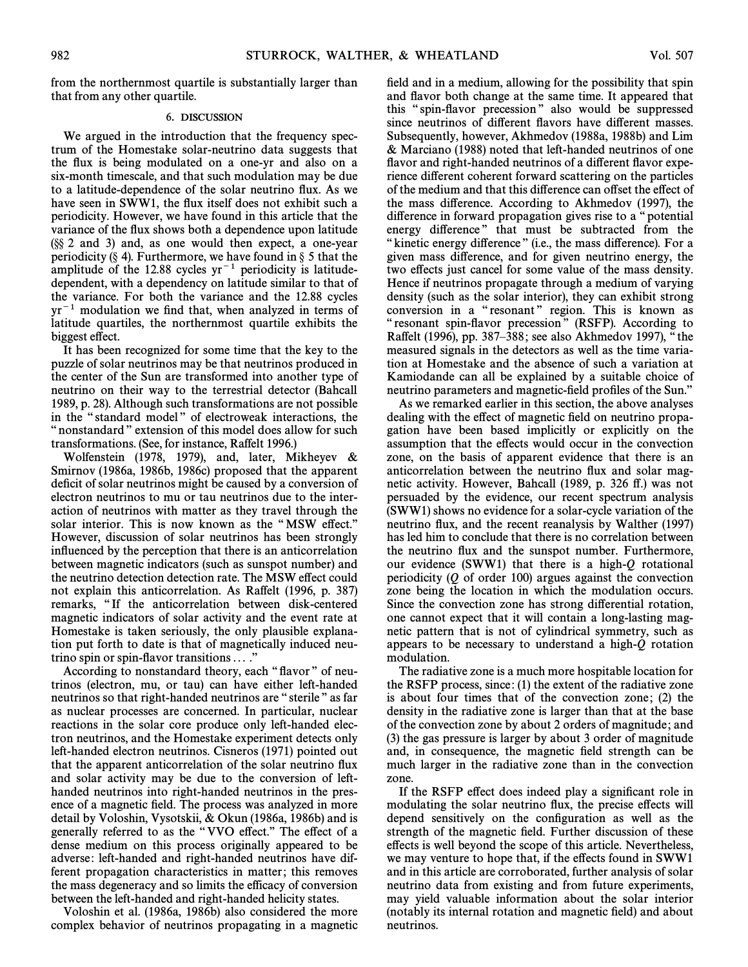from the northernmost quartile is substantially larger than that from any other quartile.

### 6. DISCUSSION

We argued in the introduction that the frequency spectrum of the Homestake solar-neutrino data suggests that the Ñux is being modulated on a one-yr and also on a six-month timescale, and that such modulation may be due to a latitude-dependence of the solar neutrino Ñux. As we have seen in SWW1, the flux itself does not exhibit such a periodicity. However, we have found in this article that the variance of the flux shows both a dependence upon latitude  $(\S\ S 2$  and 3) and, as one would then expect, a one-year periodicity (§ 4). Furthermore, we have found in  $\S$  5 that the amplitude of the 12.88 cycles  $yr^{-1}$  periodicity is latitudedependent, with a dependency on latitude similar to that of the variance. For both the variance and the 12.88 cycles  $yr^{-1}$  modulation we find that, when analyzed in terms of latitude quartiles, the northernmost quartile exhibits the biggest effect.

It has been recognized for some time that the key to the puzzle of solar neutrinos may be that neutrinos produced in the center of the Sun are transformed into another type of neutrino on their way to the terrestrial detector (Bahcall 1989, p. 28). Although such transformations are not possible in the "standard model" of electroweak interactions, the " nonstandard " extension of this model does allow for such transformations. (See, for instance, Raffelt 1996.)

Wolfenstein (1978, 1979), and, later, Mikheyev  $\&$ Smirnov (1986a, 1986b, 1986c) proposed that the apparent deficit of solar neutrinos might be caused by a conversion of electron neutrinos to mu or tau neutrinos due to the interaction of neutrinos with matter as they travel through the solar interior. This is now known as the "MSW effect." However, discussion of solar neutrinos has been strongly influenced by the perception that there is an anticorrelation between magnetic indicators (such as sunspot number) and the neutrino detection detection rate. The MSW effect could not explain this anticorrelation. As Raffelt (1996, p. 387) remarks, "If the anticorrelation between disk-centered magnetic indicators of solar activity and the event rate at Homestake is taken seriously, the only plausible explanation put forth to date is that of magnetically induced neutrino spin or spin-flavor transitions  $\dots$ ."

According to nonstandard theory, each "flavor" of neutrinos (electron, mu, or tau) can have either left-handed neutrinos so that right-handed neutrinos are "sterile" as far as nuclear processes are concerned. In particular, nuclear reactions in the solar core produce only left-handed electron neutrinos, and the Homestake experiment detects only left-handed electron neutrinos. Cisneros (1971) pointed out that the apparent anticorrelation of the solar neutrino flux and solar activity may be due to the conversion of lefthanded neutrinos into right-handed neutrinos in the presence of a magnetic field. The process was analyzed in more detail by Voloshin, Vysotskii, & Okun (1986a, 1986b) and is generally referred to as the "VVO effect." The effect of a dense medium on this process originally appeared to be adverse: left-handed and right-handed neutrinos have different propagation characteristics in matter; this removes the mass degeneracy and so limits the efficacy of conversion between the left-handed and right-handed helicity states.

Voloshin et al. (1986a, 1986b) also considered the more complex behavior of neutrinos propagating in a magnetic field and in a medium, allowing for the possibility that spin and flavor both change at the same time. It appeared that this "spin-flavor precession" also would be suppressed since neutrinos of different flavors have different masses. Subsequently, however, Akhmedov (1988a, 1988b) and Lim  $& Marciano (1988) \text{ noted that left-handed neutrinos of one}$ flavor and right-handed neutrinos of a different flavor experience different coherent forward scattering on the particles of the medium and that this di†erence can o†set the e†ect of the mass difference. According to Akhmedov (1997), the difference in forward propagation gives rise to a "potential" energy difference" that must be subtracted from the "kinetic energy difference" (i.e., the mass difference). For a given mass difference, and for given neutrino energy, the two effects just cancel for some value of the mass density. Hence if neutrinos propagate through a medium of varying density (such as the solar interior), they can exhibit strong conversion in a "resonant" region. This is known as "resonant spin-flavor precession" (RSFP). According to Raffelt (1996), pp. 387–388; see also Akhmedov 1997), "the measured signals in the detectors as well as the time variation at Homestake and the absence of such a variation at Kamiodande can all be explained by a suitable choice of neutrino parameters and magnetic-field profiles of the Sun."

As we remarked earlier in this section, the above analyses dealing with the effect of magnetic field on neutrino propagation have been based implicitly or explicitly on the assumption that the effects would occur in the convection zone, on the basis of apparent evidence that there is an anticorrelation between the neutrino flux and solar magnetic activity. However, Bahcall (1989, p. 326 ff.) was not persuaded by the evidence, our recent spectrum analysis (SWW1) shows no evidence for a solar-cycle variation of the neutrino flux, and the recent reanalysis by Walther (1997) has led him to conclude that there is no correlation between the neutrino Ñux and the sunspot number. Furthermore, our evidence (SWW1) that there is a high- $Q$  rotational periodicity  $(Q \text{ of order } 100)$  argues against the convection zone being the location in which the modulation occurs. Since the convection zone has strong differential rotation, one cannot expect that it will contain a long-lasting magnetic pattern that is not of cylindrical symmetry, such as appears to be necessary to understand a high-Q rotation modulation.

The radiative zone is a much more hospitable location for the RSFP process, since: (1) the extent of the radiative zone is about four times that of the convection zone; (2) the density in the radiative zone is larger than that at the base of the convection zone by about 2 orders of magnitude; and (3) the gas pressure is larger by about 3 order of magnitude and, in consequence, the magnetic field strength can be much larger in the radiative zone than in the convection zone.

If the RSFP effect does indeed play a significant role in modulating the solar neutrino flux, the precise effects will depend sensitively on the configuration as well as the strength of the magnetic field. Further discussion of these effects is well beyond the scope of this article. Nevertheless, we may venture to hope that, if the effects found in SWW1 and in this article are corroborated, further analysis of solar neutrino data from existing and from future experiments, may yield valuable information about the solar interior (notably its internal rotation and magnetic field) and about neutrinos.